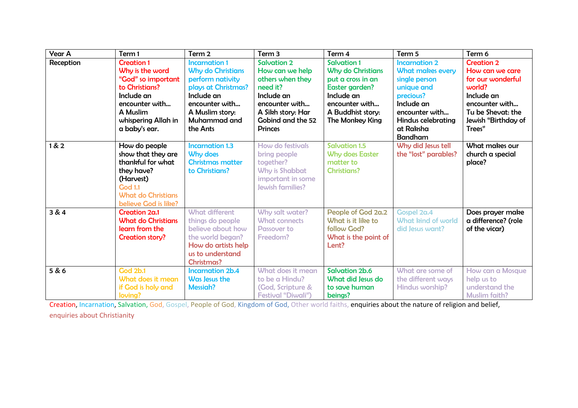| <b>Year A</b> | Term 1                                                                                                                                                           | Term 2                                                                                                                                                                     | Term <sub>3</sub>                                                                                                                                                 | Term 4                                                                                                                                                        | Term 5                                                                                                                                                                                  | Term 6                                                                                                                                                    |
|---------------|------------------------------------------------------------------------------------------------------------------------------------------------------------------|----------------------------------------------------------------------------------------------------------------------------------------------------------------------------|-------------------------------------------------------------------------------------------------------------------------------------------------------------------|---------------------------------------------------------------------------------------------------------------------------------------------------------------|-----------------------------------------------------------------------------------------------------------------------------------------------------------------------------------------|-----------------------------------------------------------------------------------------------------------------------------------------------------------|
| Reception     | <b>Creation 1</b><br>Why is the word<br>"God" so important<br>to Christians?<br>Include an<br>encounter with<br>A Muslim<br>whispering Allah in<br>a baby's ear. | <b>Incarnation 1</b><br><b>Why do Christians</b><br>perform nativity<br>plays at Christmas?<br>Include an<br>encounter with<br>A Muslim story:<br>Muhammad and<br>the Ants | <b>Salvation 2</b><br>How can we help<br>others when they<br>need it?<br>Include an<br>encounter with<br>A Sikh story: Har<br>Gobind and the 52<br><b>Princes</b> | <b>Salvation 1</b><br><b>Why do Christians</b><br>put a cross in an<br>Easter garden?<br>Include an<br>encounter with<br>A Buddhist story:<br>The Monkey King | <b>Incarnation 2</b><br><b>What makes every</b><br>single person<br>unique and<br>precious?<br>Include an<br>encounter with<br><b>Hindus celebrating</b><br>at Raksha<br><b>Bandham</b> | <b>Creation 2</b><br>How can we care<br>for our wonderful<br>world?<br>Include an<br>encounter with<br>Tu be Shevat: the<br>Jewish "Birthday of<br>Trees" |
| 1 & 2         | How do people<br>show that they are<br>thankful for what<br>they have?<br>(Harvest)<br><b>God 1.1</b><br><b>What do Christians</b><br>believe God is like?       | <b>Incarnation 1.3</b><br>Why does<br><b>Christmas matter</b><br>to Christians?                                                                                            | How do festivals<br>bring people<br>together?<br>Why is Shabbat<br>important in some<br><b>Jewish families?</b>                                                   | <b>Salvation 1.5</b><br><b>Why does Easter</b><br>matter to<br><b>Christians?</b>                                                                             | Why did Jesus tell<br>the "lost" parables?                                                                                                                                              | What makes our<br>church a special<br>place?                                                                                                              |
| 3 & 4         | Creation 2a.1<br><b>What do Christians</b><br>learn from the<br><b>Creation story?</b>                                                                           | <b>What different</b><br>things do people<br>believe about how<br>the world began?<br>How do artists help<br>us to understand<br><b>Christmas?</b>                         | Why salt water?<br><b>What connects</b><br><b>Passover to</b><br>Freedom?                                                                                         | People of God 2a.2<br>What is it like to<br>follow God?<br>What is the point of<br>Lent?                                                                      | Gospel 2a.4<br><b>What kind of world</b><br>did Jesus want?                                                                                                                             | Does prayer make<br>a difference? (role<br>of the vicar)                                                                                                  |
| 5 & 6         | <b>God 2b.1</b><br>What does it mean<br>if God is holy and<br>loving?                                                                                            | <b>Incarnation 2b.4</b><br>Was Jesus the<br><b>Messiah?</b>                                                                                                                | What does it mean<br>to be a Hindu?<br>(God, Scripture &<br><b>Festival "Diwali")</b>                                                                             | <b>Salvation 2b.6</b><br>What did Jesus do<br>to save human<br>beings?                                                                                        | What are some of<br>the different ways<br>Hindus worship?                                                                                                                               | How can a Mosque<br>help us to<br>understand the<br><b>Muslim faith?</b>                                                                                  |

Creation, Incarnation, Salvation, God, Gospel, People of God, Kingdom of God, Other world faiths, enquiries about the nature of religion and belief, enquiries about Christianity